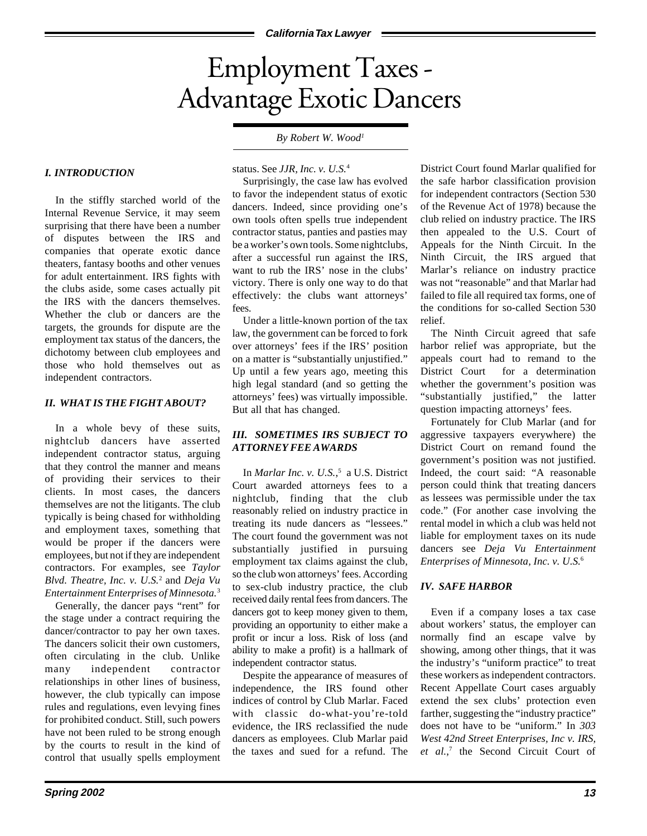# Employment Taxes - Advantage Exotic Dancers

# *By Robert W. Wood1*

## *I. INTRODUCTION*

In the stiffly starched world of the Internal Revenue Service, it may seem surprising that there have been a number of disputes between the IRS and companies that operate exotic dance theaters, fantasy booths and other venues for adult entertainment. IRS fights with the clubs aside, some cases actually pit the IRS with the dancers themselves. Whether the club or dancers are the targets, the grounds for dispute are the employment tax status of the dancers, the dichotomy between club employees and those who hold themselves out as independent contractors.

#### *II. WHAT IS THE FIGHT ABOUT?*

In a whole bevy of these suits, nightclub dancers have asserted independent contractor status, arguing that they control the manner and means of providing their services to their clients. In most cases, the dancers themselves are not the litigants. The club typically is being chased for withholding and employment taxes, something that would be proper if the dancers were employees, but not if they are independent contractors. For examples, see *Taylor Blvd. Theatre, Inc. v. U.S.*<sup>2</sup> and *Deja Vu Entertainment Enterprises of Minnesota.*<sup>3</sup>

Generally, the dancer pays "rent" for the stage under a contract requiring the dancer/contractor to pay her own taxes. The dancers solicit their own customers, often circulating in the club. Unlike many independent contractor relationships in other lines of business, however, the club typically can impose rules and regulations, even levying fines for prohibited conduct. Still, such powers have not been ruled to be strong enough by the courts to result in the kind of control that usually spells employment status. See *JJR, Inc. v. U.S.*<sup>4</sup>

Surprisingly, the case law has evolved to favor the independent status of exotic dancers. Indeed, since providing one's own tools often spells true independent contractor status, panties and pasties may be a worker's own tools. Some nightclubs, after a successful run against the IRS, want to rub the IRS' nose in the clubs' victory. There is only one way to do that effectively: the clubs want attorneys' fees.

Under a little-known portion of the tax law, the government can be forced to fork over attorneys' fees if the IRS' position on a matter is "substantially unjustified." Up until a few years ago, meeting this high legal standard (and so getting the attorneys' fees) was virtually impossible. But all that has changed.

# *III. SOMETIMES IRS SUBJECT TO ATTORNEY FEE AWARDS*

In *Marlar Inc. v. U.S.*, 5 a U.S. District Court awarded attorneys fees to a nightclub, finding that the club reasonably relied on industry practice in treating its nude dancers as "lessees." The court found the government was not substantially justified in pursuing employment tax claims against the club, so the club won attorneys' fees. According to sex-club industry practice, the club received daily rental fees from dancers. The dancers got to keep money given to them, providing an opportunity to either make a profit or incur a loss. Risk of loss (and ability to make a profit) is a hallmark of independent contractor status.

Despite the appearance of measures of independence, the IRS found other indices of control by Club Marlar. Faced with classic do-what-you're-told evidence, the IRS reclassified the nude dancers as employees. Club Marlar paid the taxes and sued for a refund. The District Court found Marlar qualified for the safe harbor classification provision for independent contractors (Section 530 of the Revenue Act of 1978) because the club relied on industry practice. The IRS then appealed to the U.S. Court of Appeals for the Ninth Circuit. In the Ninth Circuit, the IRS argued that Marlar's reliance on industry practice was not "reasonable" and that Marlar had failed to file all required tax forms, one of the conditions for so-called Section 530 relief.

The Ninth Circuit agreed that safe harbor relief was appropriate, but the appeals court had to remand to the District Court for a determination whether the government's position was "substantially justified," the latter question impacting attorneys' fees.

Fortunately for Club Marlar (and for aggressive taxpayers everywhere) the District Court on remand found the government's position was not justified. Indeed, the court said: "A reasonable person could think that treating dancers as lessees was permissible under the tax code." (For another case involving the rental model in which a club was held not liable for employment taxes on its nude dancers see *Deja Vu Entertainment Enterprises of Minnesota, Inc. v. U.S.*<sup>6</sup>

# *IV. SAFE HARBOR*

Even if a company loses a tax case about workers' status, the employer can normally find an escape valve by showing, among other things, that it was the industry's "uniform practice" to treat these workers as independent contractors. Recent Appellate Court cases arguably extend the sex clubs' protection even farther, suggesting the "industry practice" does not have to be "uniform." In *303 West 42nd Street Enterprises, Inc v. IRS, et al.*, 7 the Second Circuit Court of